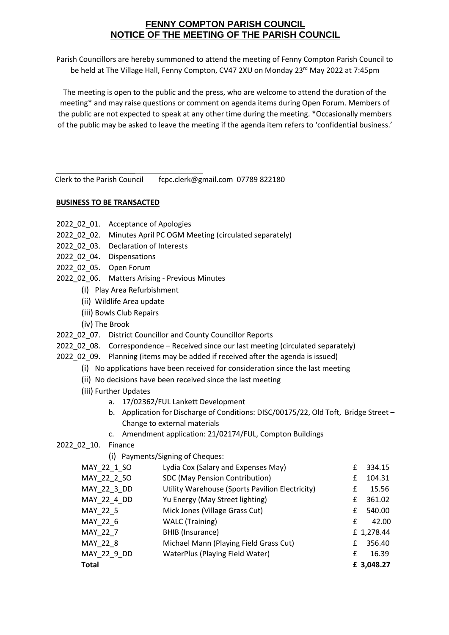## **FENNY COMPTON PARISH COUNCIL NOTICE OF THE MEETING OF THE PARISH COUNCIL**

Parish Councillors are hereby summoned to attend the meeting of Fenny Compton Parish Council to be held at The Village Hall, Fenny Compton, CV47 2XU on Monday 23rd May 2022 at 7:45pm

The meeting is open to the public and the press, who are welcome to attend the duration of the meeting\* and may raise questions or comment on agenda items during Open Forum. Members of the public are not expected to speak at any other time during the meeting. \*Occasionally members of the public may be asked to leave the meeting if the agenda item refers to 'confidential business.'

Clerk to the Parish Council fcpc.clerk@gmail.com 07789 822180

## **BUSINESS TO BE TRANSACTED**

- 2022 02 01. Acceptance of Apologies
- 2022\_02\_02. Minutes April PC OGM Meeting (circulated separately)
- 2022\_02\_03. Declaration of Interests
- 2022\_02\_04. Dispensations
- 2022\_02\_05. Open Forum
- 2022 02 06. Matters Arising Previous Minutes
	- (i) Play Area Refurbishment
	- (ii) Wildlife Area update
	- (iii) Bowls Club Repairs
	- (iv) The Brook
- 2022\_02\_07. District Councillor and County Councillor Reports
- 2022 02 08. Correspondence Received since our last meeting (circulated separately)
- 2022\_02\_09. Planning (items may be added if received after the agenda is issued)
	- (i) No applications have been received for consideration since the last meeting
		- (ii) No decisions have been received since the last meeting
	- (iii) Further Updates
		- a. 17/02362/FUL Lankett Development
		- b. Application for Discharge of Conditions: DISC/00175/22, Old Toft, Bridge Street Change to external materials
		- c. Amendment application: 21/02174/FUL, Compton Buildings
- 2022\_02\_10. Finance
	- (i) Payments/Signing of Cheques:

| MAY 22 1 SO  | Lydia Cox (Salary and Expenses May)             | £ | 334.15     |
|--------------|-------------------------------------------------|---|------------|
| MAY 22 2 SO  | SDC (May Pension Contribution)                  | f | 104.31     |
| MAY 22 3 DD  | Utility Warehouse (Sports Pavilion Electricity) | £ | 15.56      |
| MAY 22 4 DD  | Yu Energy (May Street lighting)                 | £ | 361.02     |
| MAY 22 5     | Mick Jones (Village Grass Cut)                  | f | 540.00     |
| MAY 22 6     | <b>WALC</b> (Training)                          | f | 42.00      |
| MAY 22 7     | BHIB (Insurance)                                |   | £ 1,278.44 |
| MAY 22 8     | Michael Mann (Playing Field Grass Cut)          | f | 356.40     |
| MAY 22 9 DD  | WaterPlus (Playing Field Water)                 | f | 16.39      |
| <b>Total</b> |                                                 |   | £ 3,048.27 |
|              |                                                 |   |            |